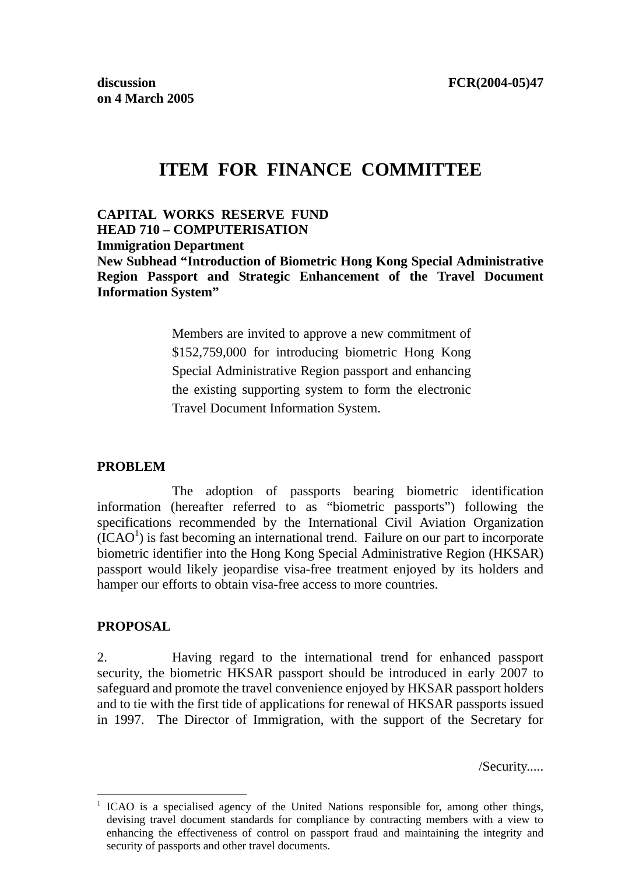# **ITEM FOR FINANCE COMMITTEE**

**CAPITAL WORKS RESERVE FUND HEAD 710 – COMPUTERISATION Immigration Department New Subhead "Introduction of Biometric Hong Kong Special Administrative Region Passport and Strategic Enhancement of the Travel Document Information System"** 

> Members are invited to approve a new commitment of \$152,759,000 for introducing biometric Hong Kong Special Administrative Region passport and enhancing the existing supporting system to form the electronic Travel Document Information System.

#### **PROBLEM**

The adoption of passports bearing biometric identification information (hereafter referred to as "biometric passports") following the specifications recommended by the International Civil Aviation Organization  $(\text{ICAO}^1)$  is fast becoming an international trend. Failure on our part to incorporate biometric identifier into the Hong Kong Special Administrative Region (HKSAR) passport would likely jeopardise visa-free treatment enjoyed by its holders and hamper our efforts to obtain visa-free access to more countries.

#### **PROPOSAL**

 $\overline{a}$ 

2. Having regard to the international trend for enhanced passport security, the biometric HKSAR passport should be introduced in early 2007 to safeguard and promote the travel convenience enjoyed by HKSAR passport holders and to tie with the first tide of applications for renewal of HKSAR passports issued in 1997. The Director of Immigration, with the support of the Secretary for

/Security.....

<sup>1</sup> ICAO is a specialised agency of the United Nations responsible for, among other things, devising travel document standards for compliance by contracting members with a view to enhancing the effectiveness of control on passport fraud and maintaining the integrity and security of passports and other travel documents.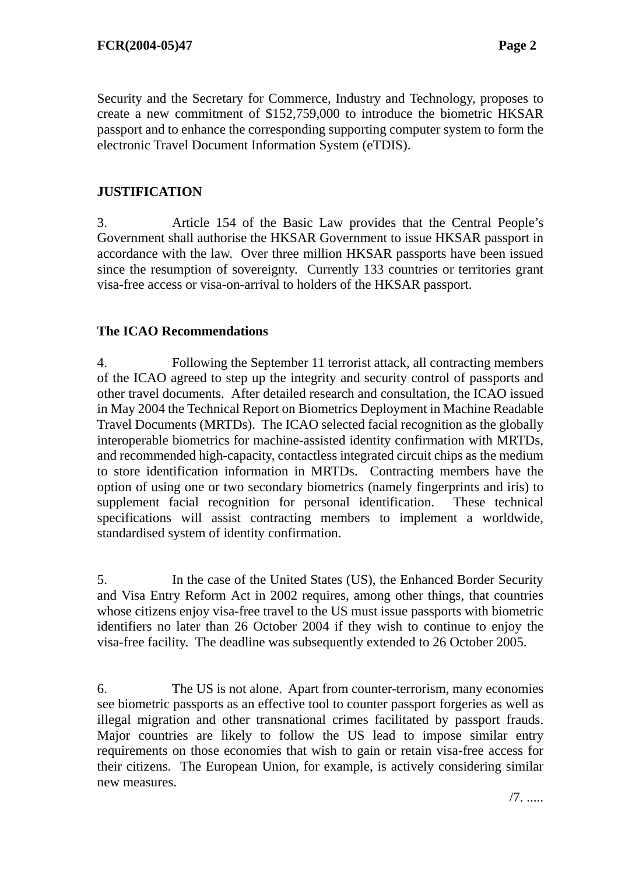Security and the Secretary for Commerce, Industry and Technology, proposes to create a new commitment of \$152,759,000 to introduce the biometric HKSAR passport and to enhance the corresponding supporting computer system to form the electronic Travel Document Information System (eTDIS).

# **JUSTIFICATION**

3. Article 154 of the Basic Law provides that the Central People's Government shall authorise the HKSAR Government to issue HKSAR passport in accordance with the law. Over three million HKSAR passports have been issued since the resumption of sovereignty. Currently 133 countries or territories grant visa-free access or visa-on-arrival to holders of the HKSAR passport.

# **The ICAO Recommendations**

4. Following the September 11 terrorist attack, all contracting members of the ICAO agreed to step up the integrity and security control of passports and other travel documents. After detailed research and consultation, the ICAO issued in May 2004 the Technical Report on Biometrics Deployment in Machine Readable Travel Documents (MRTDs). The ICAO selected facial recognition as the globally interoperable biometrics for machine-assisted identity confirmation with MRTDs, and recommended high-capacity, contactless integrated circuit chips as the medium to store identification information in MRTDs. Contracting members have the option of using one or two secondary biometrics (namely fingerprints and iris) to supplement facial recognition for personal identification. These technical specifications will assist contracting members to implement a worldwide, standardised system of identity confirmation.

5. In the case of the United States (US), the Enhanced Border Security and Visa Entry Reform Act in 2002 requires, among other things, that countries whose citizens enjoy visa-free travel to the US must issue passports with biometric identifiers no later than 26 October 2004 if they wish to continue to enjoy the visa-free facility. The deadline was subsequently extended to 26 October 2005.

6. The US is not alone. Apart from counter-terrorism, many economies see biometric passports as an effective tool to counter passport forgeries as well as illegal migration and other transnational crimes facilitated by passport frauds. Major countries are likely to follow the US lead to impose similar entry requirements on those economies that wish to gain or retain visa-free access for their citizens. The European Union, for example, is actively considering similar new measures.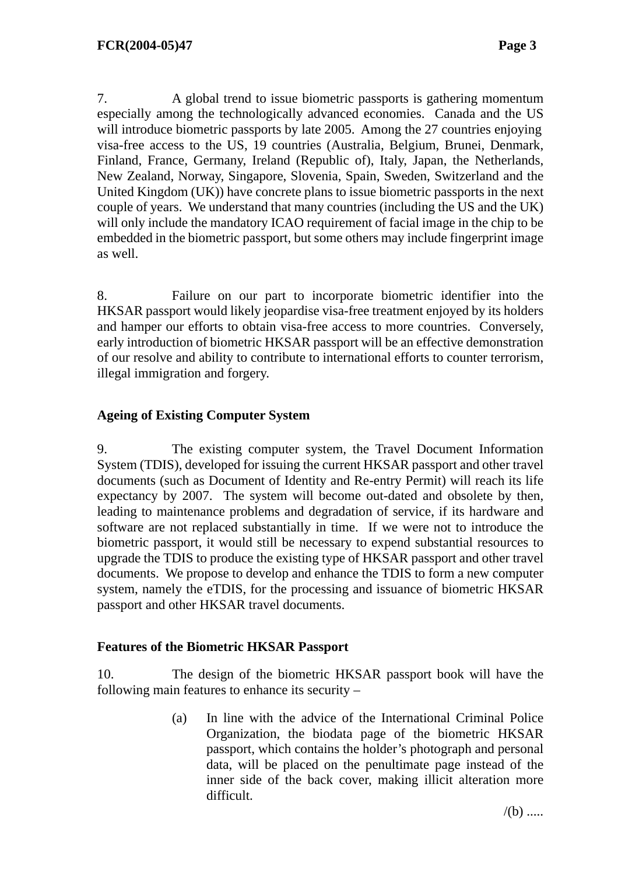7. A global trend to issue biometric passports is gathering momentum especially among the technologically advanced economies. Canada and the US will introduce biometric passports by late 2005. Among the 27 countries enjoying visa-free access to the US, 19 countries (Australia, Belgium, Brunei, Denmark, Finland, France, Germany, Ireland (Republic of), Italy, Japan, the Netherlands, New Zealand, Norway, Singapore, Slovenia, Spain, Sweden, Switzerland and the United Kingdom (UK)) have concrete plans to issue biometric passports in the next couple of years. We understand that many countries (including the US and the UK) will only include the mandatory ICAO requirement of facial image in the chip to be embedded in the biometric passport, but some others may include fingerprint image as well.

8. Failure on our part to incorporate biometric identifier into the HKSAR passport would likely jeopardise visa-free treatment enjoyed by its holders and hamper our efforts to obtain visa-free access to more countries. Conversely, early introduction of biometric HKSAR passport will be an effective demonstration of our resolve and ability to contribute to international efforts to counter terrorism, illegal immigration and forgery.

# **Ageing of Existing Computer System**

9. The existing computer system, the Travel Document Information System (TDIS), developed for issuing the current HKSAR passport and other travel documents (such as Document of Identity and Re-entry Permit) will reach its life expectancy by 2007. The system will become out-dated and obsolete by then, leading to maintenance problems and degradation of service, if its hardware and software are not replaced substantially in time. If we were not to introduce the biometric passport, it would still be necessary to expend substantial resources to upgrade the TDIS to produce the existing type of HKSAR passport and other travel documents. We propose to develop and enhance the TDIS to form a new computer system, namely the eTDIS, for the processing and issuance of biometric HKSAR passport and other HKSAR travel documents.

#### **Features of the Biometric HKSAR Passport**

10. The design of the biometric HKSAR passport book will have the following main features to enhance its security –

> (a) In line with the advice of the International Criminal Police Organization, the biodata page of the biometric HKSAR passport, which contains the holder's photograph and personal data, will be placed on the penultimate page instead of the inner side of the back cover, making illicit alteration more difficult.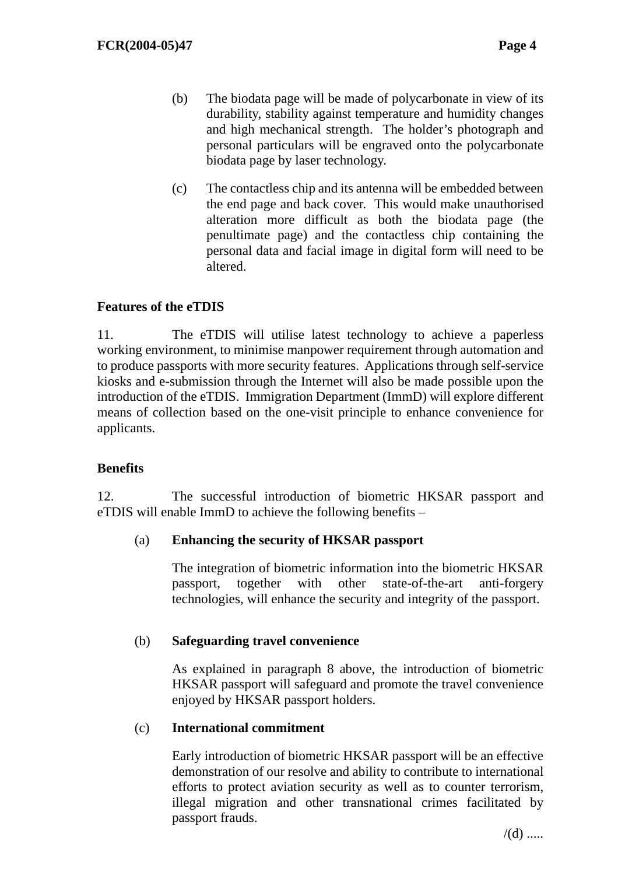- (b) The biodata page will be made of polycarbonate in view of its durability, stability against temperature and humidity changes and high mechanical strength. The holder's photograph and personal particulars will be engraved onto the polycarbonate biodata page by laser technology.
- (c) The contactless chip and its antenna will be embedded between the end page and back cover. This would make unauthorised alteration more difficult as both the biodata page (the penultimate page) and the contactless chip containing the personal data and facial image in digital form will need to be altered.

# **Features of the eTDIS**

11. The eTDIS will utilise latest technology to achieve a paperless working environment, to minimise manpower requirement through automation and to produce passports with more security features. Applications through self-service kiosks and e-submission through the Internet will also be made possible upon the introduction of the eTDIS. Immigration Department (ImmD) will explore different means of collection based on the one-visit principle to enhance convenience for applicants.

# **Benefits**

12. The successful introduction of biometric HKSAR passport and eTDIS will enable ImmD to achieve the following benefits –

# (a) **Enhancing the security of HKSAR passport**

The integration of biometric information into the biometric HKSAR passport, together with other state-of-the-art anti-forgery technologies, will enhance the security and integrity of the passport.

# (b) **Safeguarding travel convenience**

As explained in paragraph 8 above, the introduction of biometric HKSAR passport will safeguard and promote the travel convenience enjoyed by HKSAR passport holders.

#### (c) **International commitment**

Early introduction of biometric HKSAR passport will be an effective demonstration of our resolve and ability to contribute to international efforts to protect aviation security as well as to counter terrorism, illegal migration and other transnational crimes facilitated by passport frauds.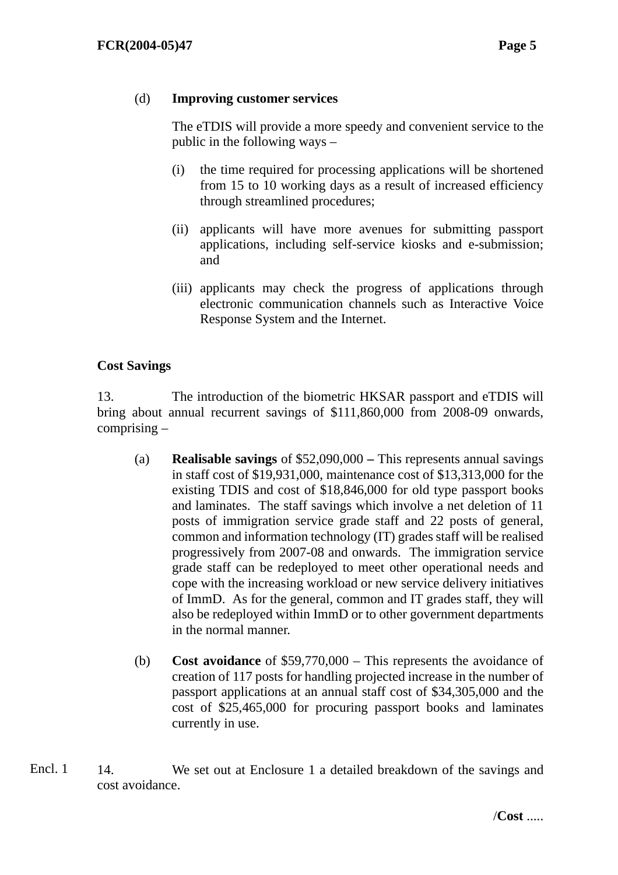#### (d) **Improving customer services**

The eTDIS will provide a more speedy and convenient service to the public in the following ways –

- (i) the time required for processing applications will be shortened from 15 to 10 working days as a result of increased efficiency through streamlined procedures;
- (ii) applicants will have more avenues for submitting passport applications, including self-service kiosks and e-submission; and
- (iii) applicants may check the progress of applications through electronic communication channels such as Interactive Voice Response System and the Internet.

# **Cost Savings**

13. The introduction of the biometric HKSAR passport and eTDIS will bring about annual recurrent savings of \$111,860,000 from 2008-09 onwards, comprising –

- (a) **Realisable savings** of \$52,090,000This represents annual savings in staff cost of \$19,931,000, maintenance cost of \$13,313,000 for the existing TDIS and cost of \$18,846,000 for old type passport books and laminates. The staff savings which involve a net deletion of 11 posts of immigration service grade staff and 22 posts of general, common and information technology (IT) grades staff will be realised progressively from 2007-08 and onwards. The immigration service grade staff can be redeployed to meet other operational needs and cope with the increasing workload or new service delivery initiatives of ImmD. As for the general, common and IT grades staff, they will also be redeployed within ImmD or to other government departments in the normal manner.
- (b) **Cost avoidance** of \$59,770,000 This represents the avoidance of creation of 117 posts for handling projected increase in the number of passport applications at an annual staff cost of \$34,305,000 and the cost of \$25,465,000 for procuring passport books and laminates currently in use.
- 14. We set out at Enclosure 1 a detailed breakdown of the savings and cost avoidance. Encl. 1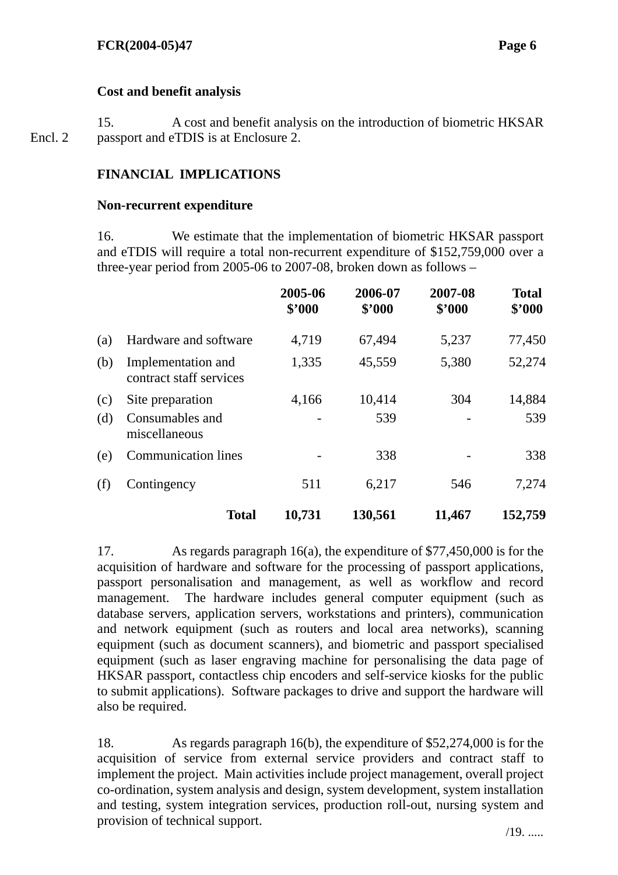# **Cost and benefit analysis**

15. A cost and benefit analysis on the introduction of biometric HKSAR passport and eTDIS is at Enclosure 2. Encl. 2

# **FINANCIAL IMPLICATIONS**

#### **Non-recurrent expenditure**

16. We estimate that the implementation of biometric HKSAR passport and eTDIS will require a total non-recurrent expenditure of \$152,759,000 over a three-year period from 2005-06 to 2007-08, broken down as follows –

|     |                                               | 2005-06<br>\$2000 | 2006-07<br>\$'000 | 2007-08<br>\$3000 | <b>Total</b><br>\$'000 |
|-----|-----------------------------------------------|-------------------|-------------------|-------------------|------------------------|
| (a) | Hardware and software                         | 4,719             | 67,494            | 5,237             | 77,450                 |
| (b) | Implementation and<br>contract staff services | 1,335             | 45,559            | 5,380             | 52,274                 |
| (c) | Site preparation                              | 4,166             | 10,414            | 304               | 14,884                 |
| (d) | Consumables and<br>miscellaneous              |                   | 539               |                   | 539                    |
| (e) | <b>Communication lines</b>                    |                   | 338               |                   | 338                    |
| (f) | Contingency                                   | 511               | 6,217             | 546               | 7,274                  |
|     | <b>Total</b>                                  | 10,731            | 130,561           | 11,467            | 152,759                |

17. As regards paragraph 16(a), the expenditure of \$77,450,000 is for the acquisition of hardware and software for the processing of passport applications, passport personalisation and management, as well as workflow and record management. The hardware includes general computer equipment (such as database servers, application servers, workstations and printers), communication and network equipment (such as routers and local area networks), scanning equipment (such as document scanners), and biometric and passport specialised equipment (such as laser engraving machine for personalising the data page of HKSAR passport, contactless chip encoders and self-service kiosks for the public to submit applications). Software packages to drive and support the hardware will also be required.

18. As regards paragraph 16(b), the expenditure of \$52,274,000 is for the acquisition of service from external service providers and contract staff to implement the project. Main activities include project management, overall project co-ordination, system analysis and design, system development, system installation and testing, system integration services, production roll-out, nursing system and provision of technical support. /19. .....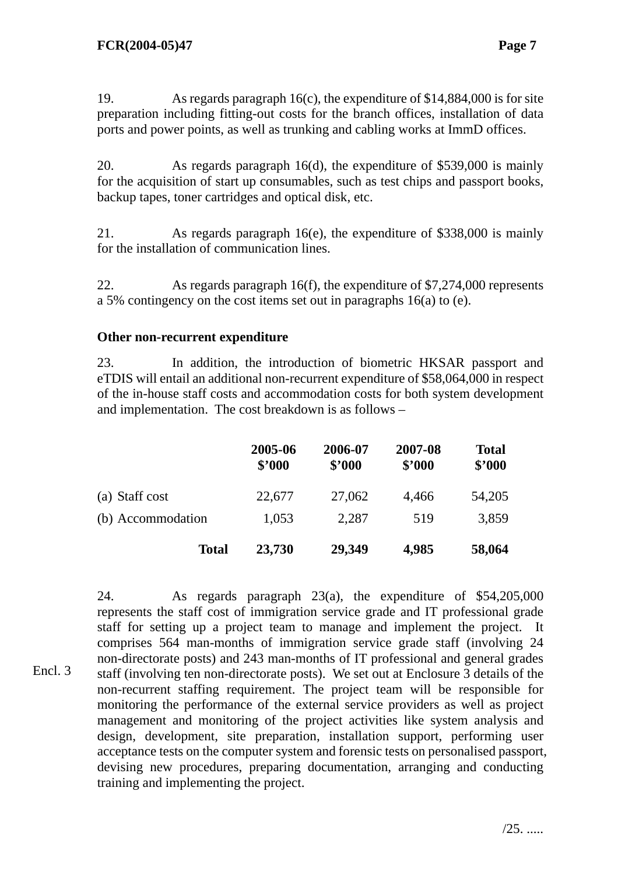19. As regards paragraph 16(c), the expenditure of \$14,884,000 is for site preparation including fitting-out costs for the branch offices, installation of data ports and power points, as well as trunking and cabling works at ImmD offices.

20. As regards paragraph 16(d), the expenditure of \$539,000 is mainly for the acquisition of start up consumables, such as test chips and passport books, backup tapes, toner cartridges and optical disk, etc.

21. As regards paragraph 16(e), the expenditure of \$338,000 is mainly for the installation of communication lines.

22. As regards paragraph 16(f), the expenditure of \$7,274,000 represents a 5% contingency on the cost items set out in paragraphs 16(a) to (e).

#### **Other non-recurrent expenditure**

23. In addition, the introduction of biometric HKSAR passport and eTDIS will entail an additional non-recurrent expenditure of \$58,064,000 in respect of the in-house staff costs and accommodation costs for both system development and implementation. The cost breakdown is as follows –

|                   | 2005-06<br>\$2000 | 2006-07<br>\$'000 | 2007-08<br>\$'000 | <b>Total</b><br>\$'000 |
|-------------------|-------------------|-------------------|-------------------|------------------------|
| (a) Staff cost    | 22,677            | 27,062            | 4,466             | 54,205                 |
| (b) Accommodation | 1,053             | 2,287             | 519               | 3,859                  |
| <b>Total</b>      | 23,730            | 29,349            | 4,985             | 58,064                 |

24. As regards paragraph 23(a), the expenditure of \$54,205,000 represents the staff cost of immigration service grade and IT professional grade staff for setting up a project team to manage and implement the project. It comprises 564 man-months of immigration service grade staff (involving 24 non-directorate posts) and 243 man-months of IT professional and general grades staff (involving ten non-directorate posts). We set out at Enclosure 3 details of the non-recurrent staffing requirement. The project team will be responsible for monitoring the performance of the external service providers as well as project management and monitoring of the project activities like system analysis and design, development, site preparation, installation support, performing user acceptance tests on the computer system and forensic tests on personalised passport, devising new procedures, preparing documentation, arranging and conducting training and implementing the project. Encl. 3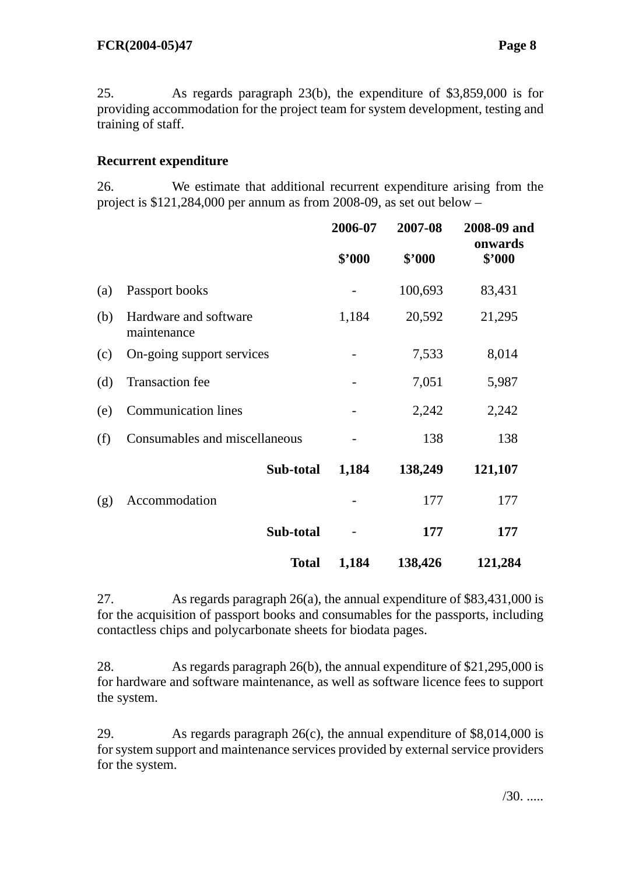25. As regards paragraph 23(b), the expenditure of \$3,859,000 is for providing accommodation for the project team for system development, testing and training of staff.

# **Recurrent expenditure**

26. We estimate that additional recurrent expenditure arising from the project is \$121,284,000 per annum as from 2008-09, as set out below –

|     |                                      |              | 2006-07 | 2007-08 | 2008-09 and<br>onwards |
|-----|--------------------------------------|--------------|---------|---------|------------------------|
|     |                                      |              | \$'000  | \$'000  | \$'000                 |
| (a) | Passport books                       |              |         | 100,693 | 83,431                 |
| (b) | Hardware and software<br>maintenance |              | 1,184   | 20,592  | 21,295                 |
| (c) | On-going support services            |              |         | 7,533   | 8,014                  |
| (d) | <b>Transaction</b> fee               |              |         | 7,051   | 5,987                  |
| (e) | <b>Communication lines</b>           |              |         | 2,242   | 2,242                  |
| (f) | Consumables and miscellaneous        |              |         | 138     | 138                    |
|     | Sub-total                            |              | 1,184   | 138,249 | 121,107                |
| (g) | Accommodation                        |              |         | 177     | 177                    |
|     | Sub-total                            |              |         | 177     | 177                    |
|     |                                      | <b>Total</b> | 1,184   | 138,426 | 121,284                |

27. As regards paragraph 26(a), the annual expenditure of \$83,431,000 is for the acquisition of passport books and consumables for the passports, including contactless chips and polycarbonate sheets for biodata pages.

28. As regards paragraph 26(b), the annual expenditure of \$21,295,000 is for hardware and software maintenance, as well as software licence fees to support the system.

29. As regards paragraph 26(c), the annual expenditure of \$8,014,000 is for system support and maintenance services provided by external service providers for the system.

/30. .....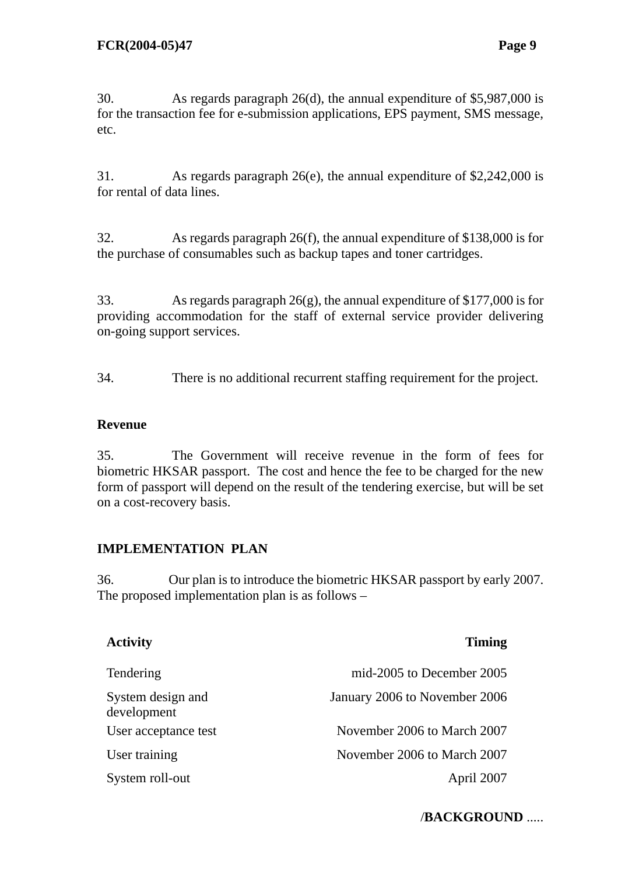30. As regards paragraph 26(d), the annual expenditure of \$5,987,000 is for the transaction fee for e-submission applications, EPS payment, SMS message, etc.

31. As regards paragraph 26(e), the annual expenditure of \$2,242,000 is for rental of data lines.

32. As regards paragraph 26(f), the annual expenditure of \$138,000 is for the purchase of consumables such as backup tapes and toner cartridges.

33. As regards paragraph 26(g), the annual expenditure of \$177,000 is for providing accommodation for the staff of external service provider delivering on-going support services.

34. There is no additional recurrent staffing requirement for the project.

#### **Revenue**

35. The Government will receive revenue in the form of fees for biometric HKSAR passport. The cost and hence the fee to be charged for the new form of passport will depend on the result of the tendering exercise, but will be set on a cost-recovery basis.

# **IMPLEMENTATION PLAN**

36. Our plan is to introduce the biometric HKSAR passport by early 2007. The proposed implementation plan is as follows –

| <b>Activity</b>                  | <b>Timing</b>                 |
|----------------------------------|-------------------------------|
| Tendering                        | mid-2005 to December 2005     |
| System design and<br>development | January 2006 to November 2006 |
| User acceptance test             | November 2006 to March 2007   |
| User training                    | November 2006 to March 2007   |
| System roll-out                  | April 2007                    |

# /**BACKGROUND** .....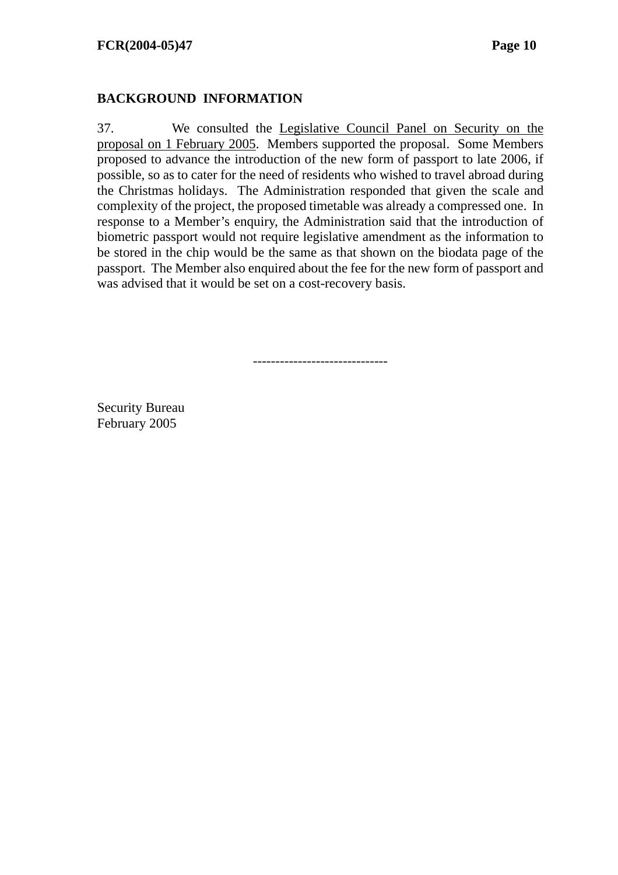#### **BACKGROUND INFORMATION**

37. We consulted the [Legislative Council Panel on Security on the](http://www.legco.gov.hk/yr04-05/english/panels/se/general/se0405.htm)  [proposal on 1 February 2005.](http://www.legco.gov.hk/yr04-05/english/panels/se/general/se0405.htm) Members supported the proposal. Some Members proposed to advance the introduction of the new form of passport to late 2006, if possible, so as to cater for the need of residents who wished to travel abroad during the Christmas holidays. The Administration responded that given the scale and complexity of the project, the proposed timetable was already a compressed one. In response to a Member's enquiry, the Administration said that the introduction of biometric passport would not require legislative amendment as the information to be stored in the chip would be the same as that shown on the biodata page of the passport. The Member also enquired about the fee for the new form of passport and was advised that it would be set on a cost-recovery basis.

------------------------------

Security Bureau February 2005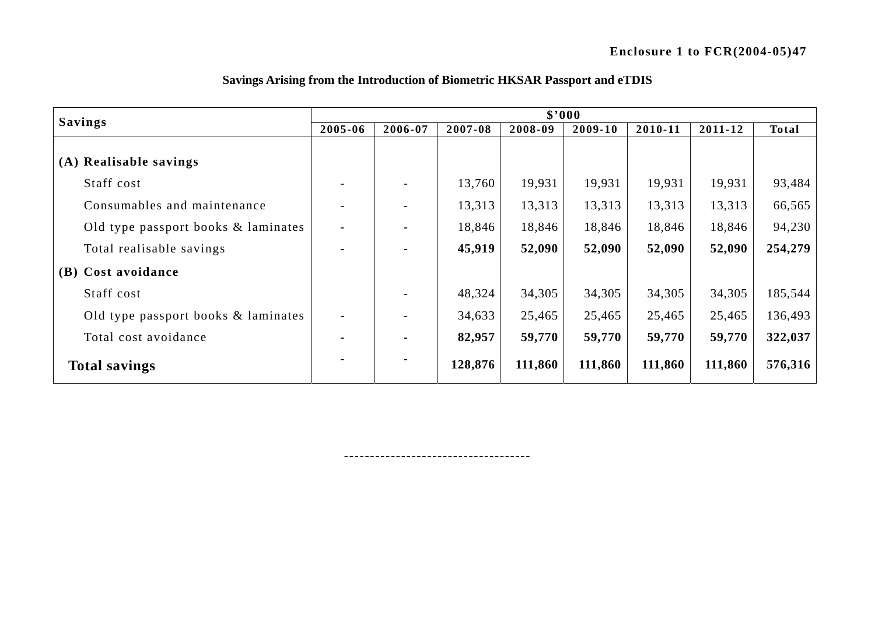| <b>Savings</b>                      | \$3000                   |                          |         |         |         |         |         |              |  |  |
|-------------------------------------|--------------------------|--------------------------|---------|---------|---------|---------|---------|--------------|--|--|
|                                     | 2005-06                  | 2006-07                  | 2007-08 | 2008-09 | 2009-10 | 2010-11 | 2011-12 | <b>Total</b> |  |  |
|                                     |                          |                          |         |         |         |         |         |              |  |  |
| (A) Realisable savings              |                          |                          |         |         |         |         |         |              |  |  |
| Staff cost                          | $\overline{\phantom{0}}$ | $\overline{\phantom{a}}$ | 13,760  | 19,931  | 19,931  | 19,931  | 19,931  | 93,484       |  |  |
| Consumables and maintenance         | $\overline{\phantom{a}}$ | $\overline{\phantom{a}}$ | 13,313  | 13,313  | 13,313  | 13,313  | 13,313  | 66,565       |  |  |
| Old type passport books & laminates | $\overline{\phantom{a}}$ | $\overline{\phantom{a}}$ | 18,846  | 18,846  | 18,846  | 18,846  | 18,846  | 94,230       |  |  |
| Total realisable savings            | $\blacksquare$           | $\blacksquare$           | 45,919  | 52,090  | 52,090  | 52,090  | 52,090  | 254,279      |  |  |
| (B) Cost avoidance                  |                          |                          |         |         |         |         |         |              |  |  |
| Staff cost                          |                          |                          | 48,324  | 34,305  | 34,305  | 34,305  | 34,305  | 185,544      |  |  |
| Old type passport books & laminates | $\overline{\phantom{a}}$ |                          | 34,633  | 25,465  | 25,465  | 25,465  | 25,465  | 136,493      |  |  |
| Total cost avoidance                | $\blacksquare$           | $\blacksquare$           | 82,957  | 59,770  | 59,770  | 59,770  | 59,770  | 322,037      |  |  |
| <b>Total savings</b>                | $\blacksquare$           | $\blacksquare$           | 128,876 | 111,860 | 111,860 | 111,860 | 111,860 | 576,316      |  |  |

#### **Savings Arising from the Introduction of Biometric HKSAR Passport and eTDIS**

------------------------------------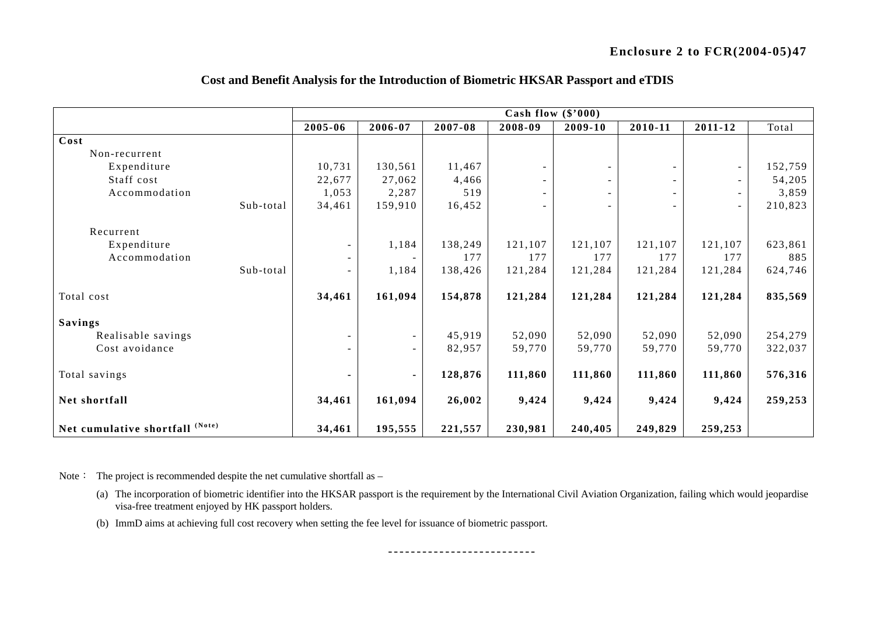|                                 |             | Cash flow $(\$'000)$ |         |                          |         |         |                          |         |  |  |  |
|---------------------------------|-------------|----------------------|---------|--------------------------|---------|---------|--------------------------|---------|--|--|--|
|                                 | $2005 - 06$ | 2006-07              | 2007-08 | 2008-09                  | 2009-10 | 2010-11 | 2011-12                  | Total   |  |  |  |
| Cost                            |             |                      |         |                          |         |         |                          |         |  |  |  |
| Non-recurrent                   |             |                      |         |                          |         |         |                          |         |  |  |  |
| Expenditure                     | 10,731      | 130,561              | 11,467  |                          |         |         | $\overline{\phantom{a}}$ | 152,759 |  |  |  |
| Staff cost                      | 22,677      | 27,062               | 4,466   |                          |         |         |                          | 54,205  |  |  |  |
| Accommodation                   | 1,053       | 2,287                | 519     | $\overline{\phantom{0}}$ |         |         |                          | 3,859   |  |  |  |
| Sub-total                       | 34,461      | 159,910              | 16,452  |                          |         |         |                          | 210,823 |  |  |  |
| Recurrent                       |             |                      |         |                          |         |         |                          |         |  |  |  |
| Expenditure                     |             | 1,184                | 138,249 | 121,107                  | 121,107 | 121,107 | 121,107                  | 623,861 |  |  |  |
| Accommodation                   |             |                      | 177     | 177                      | 177     | 177     | 177                      | 885     |  |  |  |
| Sub-total                       |             | 1,184                | 138,426 | 121,284                  | 121,284 | 121,284 | 121,284                  | 624,746 |  |  |  |
| Total cost                      | 34,461      | 161,094              | 154,878 | 121,284                  | 121,284 | 121,284 | 121,284                  | 835,569 |  |  |  |
| <b>Savings</b>                  |             |                      |         |                          |         |         |                          |         |  |  |  |
| Realisable savings              |             |                      | 45,919  | 52,090                   | 52,090  | 52,090  | 52,090                   | 254,279 |  |  |  |
| Cost avoidance                  |             |                      | 82,957  | 59,770                   | 59,770  | 59,770  | 59,770                   | 322,037 |  |  |  |
| Total savings                   |             | ٠                    | 128,876 | 111,860                  | 111,860 | 111,860 | 111,860                  | 576,316 |  |  |  |
| Net shortfall                   | 34,461      | 161,094              | 26,002  | 9,424                    | 9,424   | 9,424   | 9,424                    | 259,253 |  |  |  |
| Net cumulative shortfall (Note) | 34,461      | 195,555              | 221,557 | 230,981                  | 240,405 | 249,829 | 259,253                  |         |  |  |  |

#### **Cost and Benefit Analysis for the Introduction of Biometric HKSAR Passport and eTDIS**

Note: The project is recommended despite the net cumulative shortfall as -

- (a) The incorporation of biometric identifier into the HKSAR passport is the requirement by the International Civil Aviation Organization, failing which would jeopardise visa-free treatment enjoyed by HK passport holders.
- (b) ImmD aims at achieving full cost recovery when setting the fee level for issuance of biometric passport.

--------------------------